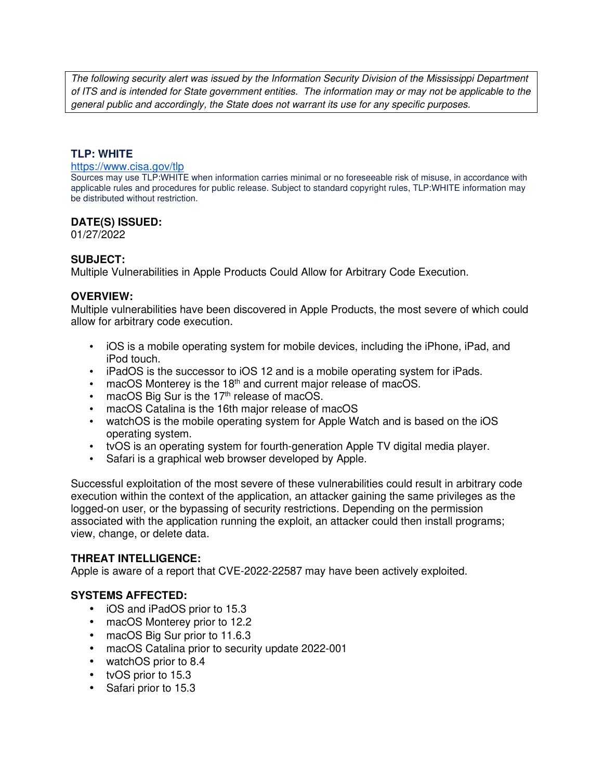The following security alert was issued by the Information Security Division of the Mississippi Department of ITS and is intended for State government entities. The information may or may not be applicable to the general public and accordingly, the State does not warrant its use for any specific purposes.

## **TLP: WHITE**

#### https://www.cisa.gov/tlp

Sources may use TLP:WHITE when information carries minimal or no foreseeable risk of misuse, in accordance with applicable rules and procedures for public release. Subject to standard copyright rules, TLP:WHITE information may be distributed without restriction.

### **DATE(S) ISSUED:**

01/27/2022

### **SUBJECT:**

Multiple Vulnerabilities in Apple Products Could Allow for Arbitrary Code Execution.

### **OVERVIEW:**

Multiple vulnerabilities have been discovered in Apple Products, the most severe of which could allow for arbitrary code execution.

- iOS is a mobile operating system for mobile devices, including the iPhone, iPad, and iPod touch.
- iPadOS is the successor to iOS 12 and is a mobile operating system for iPads.
- $\bullet$  macOS Monterey is the 18<sup>th</sup> and current major release of macOS.
- $\bullet$  macOS Big Sur is the 17<sup>th</sup> release of macOS.
- macOS Catalina is the 16th major release of macOS
- watchOS is the mobile operating system for Apple Watch and is based on the iOS operating system.
- tvOS is an operating system for fourth-generation Apple TV digital media player.
- Safari is a graphical web browser developed by Apple.

Successful exploitation of the most severe of these vulnerabilities could result in arbitrary code execution within the context of the application, an attacker gaining the same privileges as the logged-on user, or the bypassing of security restrictions. Depending on the permission associated with the application running the exploit, an attacker could then install programs; view, change, or delete data.

## **THREAT INTELLIGENCE:**

Apple is aware of a report that CVE-2022-22587 may have been actively exploited.

## **SYSTEMS AFFECTED:**

- iOS and iPadOS prior to 15.3
- macOS Monterey prior to 12.2
- macOS Big Sur prior to 11.6.3
- macOS Catalina prior to security update 2022-001
- watchOS prior to 8.4
- tvOS prior to 15.3
- Safari prior to 15.3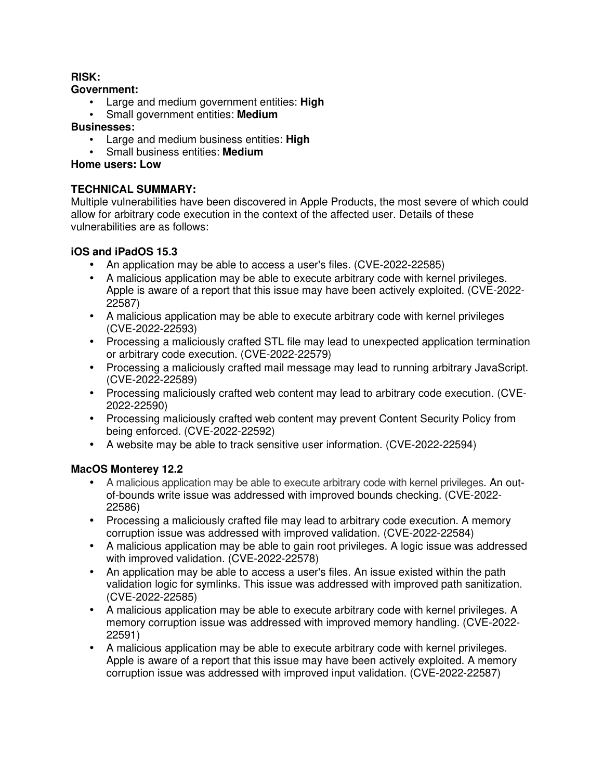## **RISK:**

### **Government:**

- Large and medium government entities: **High**
- Small government entities: **Medium**

## **Businesses:**

- Large and medium business entities: **High**
- Small business entities: **Medium**

## **Home users: Low**

## **TECHNICAL SUMMARY:**

Multiple vulnerabilities have been discovered in Apple Products, the most severe of which could allow for arbitrary code execution in the context of the affected user. Details of these vulnerabilities are as follows:

## **iOS and iPadOS 15.3**

- An application may be able to access a user's files. (CVE-2022-22585)
- A malicious application may be able to execute arbitrary code with kernel privileges. Apple is aware of a report that this issue may have been actively exploited. (CVE-2022- 22587)
- A malicious application may be able to execute arbitrary code with kernel privileges (CVE-2022-22593)
- Processing a maliciously crafted STL file may lead to unexpected application termination or arbitrary code execution. (CVE-2022-22579)
- Processing a maliciously crafted mail message may lead to running arbitrary JavaScript. (CVE-2022-22589)
- Processing maliciously crafted web content may lead to arbitrary code execution. (CVE-2022-22590)
- Processing maliciously crafted web content may prevent Content Security Policy from being enforced. (CVE-2022-22592)
- A website may be able to track sensitive user information. (CVE-2022-22594)

# **MacOS Monterey 12.2**

- A malicious application may be able to execute arbitrary code with kernel privileges. An outof-bounds write issue was addressed with improved bounds checking. (CVE-2022- 22586)
- Processing a maliciously crafted file may lead to arbitrary code execution. A memory corruption issue was addressed with improved validation. (CVE-2022-22584)
- A malicious application may be able to gain root privileges. A logic issue was addressed with improved validation. (CVE-2022-22578)
- An application may be able to access a user's files. An issue existed within the path validation logic for symlinks. This issue was addressed with improved path sanitization. (CVE-2022-22585)
- A malicious application may be able to execute arbitrary code with kernel privileges. A memory corruption issue was addressed with improved memory handling. (CVE-2022- 22591)
- A malicious application may be able to execute arbitrary code with kernel privileges. Apple is aware of a report that this issue may have been actively exploited. A memory corruption issue was addressed with improved input validation. (CVE-2022-22587)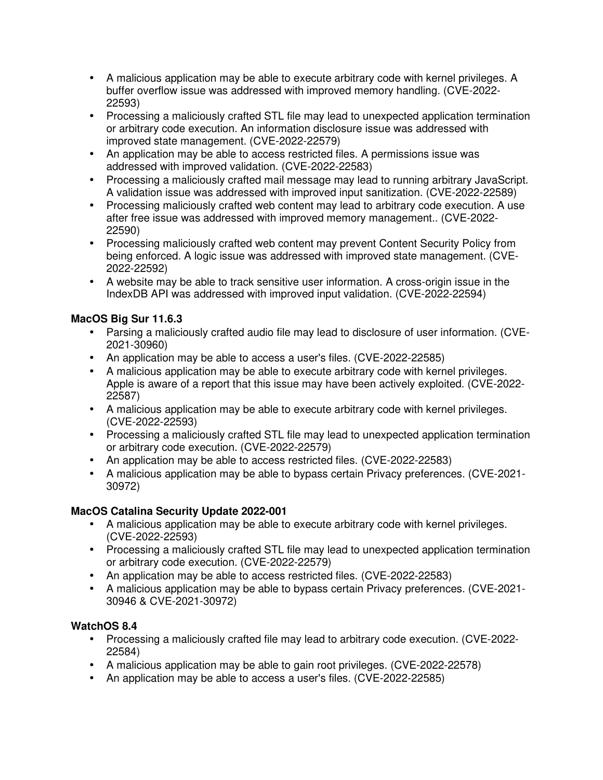- A malicious application may be able to execute arbitrary code with kernel privileges. A buffer overflow issue was addressed with improved memory handling. (CVE-2022- 22593)
- Processing a maliciously crafted STL file may lead to unexpected application termination or arbitrary code execution. An information disclosure issue was addressed with improved state management. (CVE-2022-22579)
- An application may be able to access restricted files. A permissions issue was addressed with improved validation. (CVE-2022-22583)
- Processing a maliciously crafted mail message may lead to running arbitrary JavaScript. A validation issue was addressed with improved input sanitization. (CVE-2022-22589)
- Processing maliciously crafted web content may lead to arbitrary code execution. A use after free issue was addressed with improved memory management.. (CVE-2022- 22590)
- Processing maliciously crafted web content may prevent Content Security Policy from being enforced. A logic issue was addressed with improved state management. (CVE-2022-22592)
- A website may be able to track sensitive user information. A cross-origin issue in the IndexDB API was addressed with improved input validation. (CVE-2022-22594)

# **MacOS Big Sur 11.6.3**

- Parsing a maliciously crafted audio file may lead to disclosure of user information. (CVE-2021-30960)
- An application may be able to access a user's files. (CVE-2022-22585)
- A malicious application may be able to execute arbitrary code with kernel privileges. Apple is aware of a report that this issue may have been actively exploited. (CVE-2022- 22587)
- A malicious application may be able to execute arbitrary code with kernel privileges. (CVE-2022-22593)
- Processing a maliciously crafted STL file may lead to unexpected application termination or arbitrary code execution. (CVE-2022-22579)
- An application may be able to access restricted files. (CVE-2022-22583)
- A malicious application may be able to bypass certain Privacy preferences. (CVE-2021- 30972)

# **MacOS Catalina Security Update 2022-001**

- A malicious application may be able to execute arbitrary code with kernel privileges. (CVE-2022-22593)
- Processing a maliciously crafted STL file may lead to unexpected application termination or arbitrary code execution. (CVE-2022-22579)
- An application may be able to access restricted files. (CVE-2022-22583)
- A malicious application may be able to bypass certain Privacy preferences. (CVE-2021- 30946 & CVE-2021-30972)

# **WatchOS 8.4**

- Processing a maliciously crafted file may lead to arbitrary code execution. (CVE-2022- 22584)
- A malicious application may be able to gain root privileges. (CVE-2022-22578)
- An application may be able to access a user's files. (CVE-2022-22585)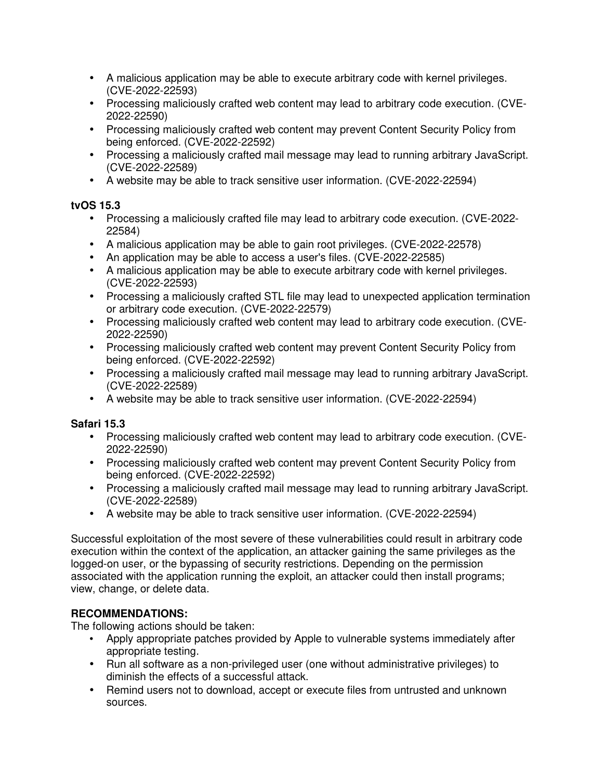- A malicious application may be able to execute arbitrary code with kernel privileges. (CVE-2022-22593)
- Processing maliciously crafted web content may lead to arbitrary code execution. (CVE-2022-22590)
- Processing maliciously crafted web content may prevent Content Security Policy from being enforced. (CVE-2022-22592)
- Processing a maliciously crafted mail message may lead to running arbitrary JavaScript. (CVE-2022-22589)
- A website may be able to track sensitive user information. (CVE-2022-22594)

# **tvOS 15.3**

- Processing a maliciously crafted file may lead to arbitrary code execution. (CVE-2022- 22584)
- A malicious application may be able to gain root privileges. (CVE-2022-22578)
- An application may be able to access a user's files. (CVE-2022-22585)
- A malicious application may be able to execute arbitrary code with kernel privileges. (CVE-2022-22593)
- Processing a maliciously crafted STL file may lead to unexpected application termination or arbitrary code execution. (CVE-2022-22579)
- Processing maliciously crafted web content may lead to arbitrary code execution. (CVE-2022-22590)
- Processing maliciously crafted web content may prevent Content Security Policy from being enforced. (CVE-2022-22592)
- Processing a maliciously crafted mail message may lead to running arbitrary JavaScript. (CVE-2022-22589)
- A website may be able to track sensitive user information. (CVE-2022-22594)

# **Safari 15.3**

- Processing maliciously crafted web content may lead to arbitrary code execution. (CVE-2022-22590)
- Processing maliciously crafted web content may prevent Content Security Policy from being enforced. (CVE-2022-22592)
- Processing a maliciously crafted mail message may lead to running arbitrary JavaScript. (CVE-2022-22589)
- A website may be able to track sensitive user information. (CVE-2022-22594)

Successful exploitation of the most severe of these vulnerabilities could result in arbitrary code execution within the context of the application, an attacker gaining the same privileges as the logged-on user, or the bypassing of security restrictions. Depending on the permission associated with the application running the exploit, an attacker could then install programs; view, change, or delete data.

# **RECOMMENDATIONS:**

The following actions should be taken:

- Apply appropriate patches provided by Apple to vulnerable systems immediately after appropriate testing.
- Run all software as a non-privileged user (one without administrative privileges) to diminish the effects of a successful attack.
- Remind users not to download, accept or execute files from untrusted and unknown sources.